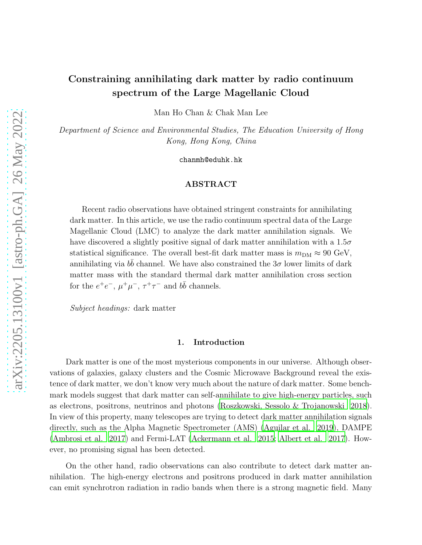# Constraining annihilating dark matter by radio continuum spectrum of the Large Magellanic Cloud

Man Ho Chan & Chak Man Lee

*Department of Science and Environmental Studies, The Education University of Hong Kong, Hong Kong, China*

chanmh@eduhk.hk

### ABSTRACT

Recent radio observations have obtained stringent constraints for annihilating dark matter. In this article, we use the radio continuum spectral data of the Large Magellanic Cloud (LMC) to analyze the dark matter annihilation signals. We have discovered a slightly positive signal of dark matter annihilation with a  $1.5\sigma$ statistical significance. The overall best-fit dark matter mass is  $m_{DM} \approx 90 \text{ GeV}$ , annihilating via  $b\bar{b}$  channel. We have also constrained the  $3\sigma$  lower limits of dark matter mass with the standard thermal dark matter annihilation cross section for the  $e^+e^-$ ,  $\mu^+\mu^-$ ,  $\tau^+\tau^-$  and  $b\bar{b}$  channels.

*Subject headings:* dark matter

## 1. Introduction

Dark matter is one of the most mysterious components in our universe. Although observations of galaxies, galaxy clusters and the Cosmic Microwave Background reveal the existence of dark matter, we don't know very much about the nature of dark matter. Some benchmark models suggest that dark matter can self-annihilate to give high-energy particles, such as electrons, positrons, neutrinos and photons [\(Roszkowski, Sessolo & Trojanowski 2018](#page-16-0)). In view of this property, many telescopes are trying to detect dark matter annihilation signals directly, such as the Alpha Magnetic Spectrometer (AMS) [\(Aguilar et al. 2019\)](#page-8-0), DAMPE [\(Ambrosi et al. 2017\)](#page-8-1) and Fermi-LAT [\(Ackermann et al. 2015](#page-8-2); [Albert et al. 2017\)](#page-8-3). However, no promising signal has been detected.

On the other hand, radio observations can also contribute to detect dark matter annihilation. The high-energy electrons and positrons produced in dark matter annihilation can emit synchrotron radiation in radio bands when there is a strong magnetic field. Many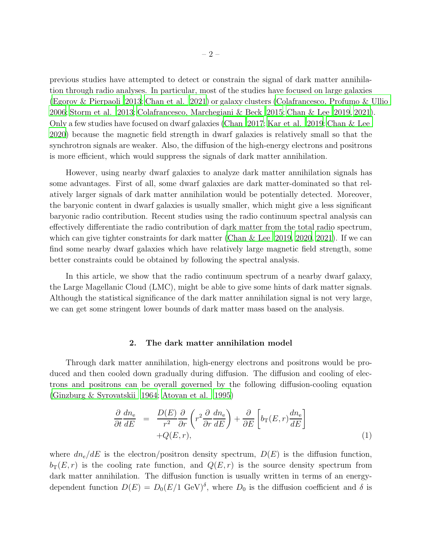previous studies have attempted to detect or constrain the signal of dark matter annihilation through radio analyses. In particular, most of the studies have focused on large galaxies [\(Egorov & Pierpaoli 2013;](#page-16-1) [Chan et al. 2021](#page-16-2)) or galaxy clusters [\(Colafrancesco, Profumo & Ullio](#page-16-3) [2006;](#page-16-3) [Storm et al. 2013;](#page-17-0) [Colafrancesco, Marchegiani & Beck 2015;](#page-16-4) [Chan & Lee 2019](#page-8-4), [2021](#page-16-5)). Only a few studies have focused on dwarf galaxies [\(Chan 2017;](#page-8-5) [Kar et al. 2019;](#page-16-6) [Chan & Lee](#page-16-7) [2020\)](#page-16-7) because the magnetic field strength in dwarf galaxies is relatively small so that the synchrotron signals are weaker. Also, the diffusion of the high-energy electrons and positrons is more efficient, which would suppress the signals of dark matter annihilation.

However, using nearby dwarf galaxies to analyze dark matter annihilation signals has some advantages. First of all, some dwarf galaxies are dark matter-dominated so that relatively larger signals of dark matter annihilation would be potentially detected. Moreover, the baryonic content in dwarf galaxies is usually smaller, which might give a less significant baryonic radio contribution. Recent studies using the radio continuum spectral analysis can effectively differentiate the radio contribution of dark matter from the total radio spectrum, which can give tighter constraints for dark matter [\(Chan & Lee 2019,](#page-8-4) [2020,](#page-16-7) [2021](#page-16-5)). If we can find some nearby dwarf galaxies which have relatively large magnetic field strength, some better constraints could be obtained by following the spectral analysis.

In this article, we show that the radio continuum spectrum of a nearby dwarf galaxy, the Large Magellanic Cloud (LMC), might be able to give some hints of dark matter signals. Although the statistical significance of the dark matter annihilation signal is not very large, we can get some stringent lower bounds of dark matter mass based on the analysis.

#### 2. The dark matter annihilation model

Through dark matter annihilation, high-energy electrons and positrons would be produced and then cooled down gradually during diffusion. The diffusion and cooling of electrons and positrons can be overall governed by the following diffusion-cooling equation [\(Ginzburg & Syrovatskii 1964](#page-16-8); [Atoyan et al. 1995\)](#page-8-6)

<span id="page-1-0"></span>
$$
\frac{\partial}{\partial t} \frac{dn_e}{dE} = \frac{D(E)}{r^2} \frac{\partial}{\partial r} \left( r^2 \frac{\partial}{\partial r} \frac{dn_e}{dE} \right) + \frac{\partial}{\partial E} \left[ b_{\rm T}(E, r) \frac{dn_e}{dE} \right] + Q(E, r), \tag{1}
$$

where  $dn_e/dE$  is the electron/positron density spectrum,  $D(E)$  is the diffusion function,  $b_T(E,r)$  is the cooling rate function, and  $Q(E,r)$  is the source density spectrum from dark matter annihilation. The diffusion function is usually written in terms of an energydependent function  $D(E) = D_0(E/1 \text{ GeV})^{\delta}$ , where  $D_0$  is the diffusion coefficient and  $\delta$  is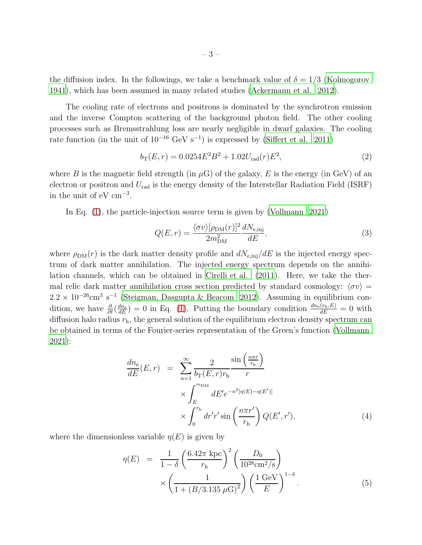the diffusion index. In the followings, we take a benchmark value of  $\delta = 1/3$  [\(Kolmogorov](#page-16-9) [1941\)](#page-16-9), which has been assumed in many related studies [\(Ackermann](#page-8-7) et al. [2012\)](#page-8-7).

The cooling rate of electrons and positrons is dominated by the synchrotron emission and the inverse Compton scattering of the background photon field. The other cooling processes such as Bremsstrahlung loss are nearly negligible in dwarf galaxies. The cooling rate function (in the unit of  $10^{-16}$  GeV s<sup>-1</sup>) is expressed by [\(Siffert et al. 2011](#page-17-1))

$$
b_{\rm T}(E,r) = 0.0254E^2B^2 + 1.02U_{\rm rad}(r)E^2,
$$
\n(2)

where B is the magnetic field strength (in  $\mu$ G) of the galaxy, E is the energy (in GeV) of an electron or positron and  $U_{\text{rad}}$  is the energy density of the Interstellar Radiation Field (ISRF) in the unit of  $eV \text{ cm}^{-3}$ .

In Eq. [\(1\)](#page-1-0), the particle-injection source term is given by [\(Vollmann 2021\)](#page-17-2)

$$
Q(E,r) = \frac{\langle \sigma v \rangle [\rho_{\rm DM}(r)]^2}{2m_{\rm DM}^2} \frac{dN_{\rm e,inj}}{dE},\tag{3}
$$

where  $\rho_{DM}(r)$  is the dark matter density profile and  $dN_{e,ini}/dE$  is the injected energy spectrum of dark matter annihilation. The injected energy spectrum depends on the annihilation channels, which can be obtained in [Cirelli et al. \(2011](#page-16-10)). Here, we take the thermal relic dark matter annihilation cross section predicted by standard cosmology:  $\langle \sigma v \rangle$  = 2.2 × 10<sup>-26</sup>cm<sup>3</sup> s<sup>-1</sup> [\(Steigman, Dasgupta & Beacom 2012\)](#page-17-3). Assuming in equilibrium condition, we have  $\frac{\partial}{\partial t}(\frac{dn_e}{dE}) = 0$  in Eq. [\(1\)](#page-1-0). Putting the boundary condition  $\frac{dn_e(r_h, E)}{dE} = 0$  with diffusion halo radius  $r<sub>h</sub>$ , the general solution of the equilibrium electron density spectrum can be obtained in terms of the Fourier-series representation of the Green's function [\(Vollmann](#page-17-2) [2021\)](#page-17-2):

<span id="page-2-0"></span>
$$
\frac{dn_e}{dE}(E,r) = \sum_{n=1}^{\infty} \frac{2}{b_{\text{T}}(E,r)r_{\text{h}}} \frac{\sin\left(\frac{n\pi r}{r_{\text{h}}}\right)}{r}
$$

$$
\times \int_{E}^{m_{\text{DM}}} dE'e^{-n^2[\eta(E)-\eta(E')]}
$$

$$
\times \int_{0}^{r_{\text{h}}} dr'r'\sin\left(\frac{n\pi r'}{r_{\text{h}}}\right)Q(E',r'), \tag{4}
$$

where the dimensionless variable  $\eta(E)$  is given by

$$
\eta(E) = \frac{1}{1-\delta} \left( \frac{6.42\pi \text{ kpc}}{r_h} \right)^2 \left( \frac{D_0}{10^{28} \text{cm}^2/\text{s}} \right) \times \left( \frac{1}{1 + (B/3.135 \,\mu\text{G})^2} \right) \left( \frac{1 \text{ GeV}}{E} \right)^{1-\delta} . \tag{5}
$$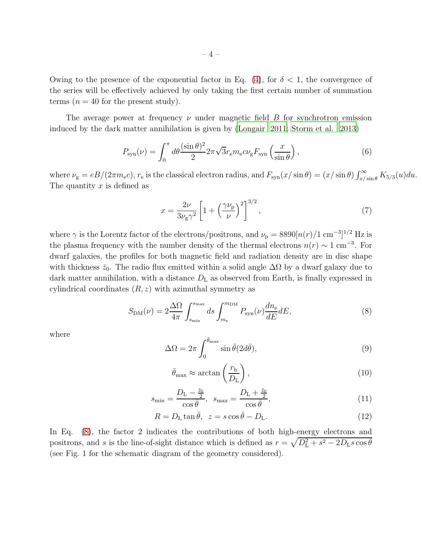Owing to the presence of the exponential factor in Eq. [\(4\)](#page-2-0), for  $\delta < 1$ , the convergence of the series will be effectively achieved by only taking the first certain number of summation terms ( $n = 40$  for the present study).

The average power at frequency  $\nu$  under magnetic field  $B$  for synchrotron emission induced by the dark matter annihilation is given by [\(Longair 2011;](#page-16-11) [Storm et al. 2013\)](#page-17-0)

$$
P_{\rm syn}(\nu) = \int_0^\pi d\theta \frac{(\sin \theta)^2}{2} 2\pi \sqrt{3} r_{\rm e} m_{\rm e} c \nu_{\rm g} F_{\rm syn} \left(\frac{x}{\sin \theta}\right),\tag{6}
$$

where  $\nu_{\rm g} = eB/(2\pi m_{\rm e}c)$ ,  $r_{\rm e}$  is the classical electron radius, and  $F_{\rm syn}(x/\sin\theta) = (x/\sin\theta)\int_{x/\sin\theta}^{\infty} K_{5/3}(u)du$ . The quantity  $x$  is defined as

$$
x = \frac{2\nu}{3\nu_{\rm g}\gamma^2} \left[ 1 + \left(\frac{\gamma\nu_{\rm p}}{\nu}\right)^2 \right]^{3/2},\tag{7}
$$

where  $\gamma$  is the Lorentz factor of the electrons/positrons, and  $\nu_{\rm p} = 8890 [n(r)/1 \text{ cm}^{-3}]^{1/2}$  Hz is the plasma frequency with the number density of the thermal electrons  $n(r) \sim 1 \text{ cm}^{-3}$ . For dwarf galaxies, the profiles for both magnetic field and radiation density are in disc shape with thickness  $\bar{z}_0$ . The radio flux emitted within a solid angle  $\Delta\Omega$  by a dwarf galaxy due to dark matter annihilation, with a distance  $D<sub>L</sub>$  as observed from Earth, is finally expressed in cylindrical coordinates  $(R, z)$  with azimuthal symmetry as

<span id="page-3-0"></span>
$$
S_{\rm DM}(\nu) = 2 \frac{\Delta \Omega}{4\pi} \int_{s_{\rm min}}^{s_{\rm max}} ds \int_{m_{\rm e}}^{m_{\rm DM}} P_{\rm syn}(\nu) \frac{dn_{\rm e}}{dE} dE,\tag{8}
$$

where

$$
\Delta\Omega = 2\pi \int_0^{\bar{\theta}_{\text{max}}} \sin \bar{\theta} (2d\bar{\theta}), \qquad (9)
$$

$$
\bar{\theta}_{\text{max}} \approx \arctan\left(\frac{r_{\text{h}}}{D_{\text{L}}}\right),\tag{10}
$$

$$
s_{\min} = \frac{D_{\rm L} - \frac{\bar{z}_0}{2}}{\cos \bar{\theta}}, \ \ s_{\max} = \frac{D_{\rm L} + \frac{\bar{z}_0}{2}}{\cos \bar{\theta}},\tag{11}
$$

$$
R = D_{\rm L} \tan \bar{\theta}, \ \ z = s \cos \bar{\theta} - D_{\rm L}.
$$
\n(12)

In Eq. [\(8\)](#page-3-0), the factor 2 indicates the contributions of both high-energy electrons and positrons, and s is the line-of-sight distance which is defined as  $r = \sqrt{D_{\rm L}^2 + s^2 - 2D_{\rm L}s\cos\theta}$ (see Fig. 1 for the schematic diagram of the geometry considered).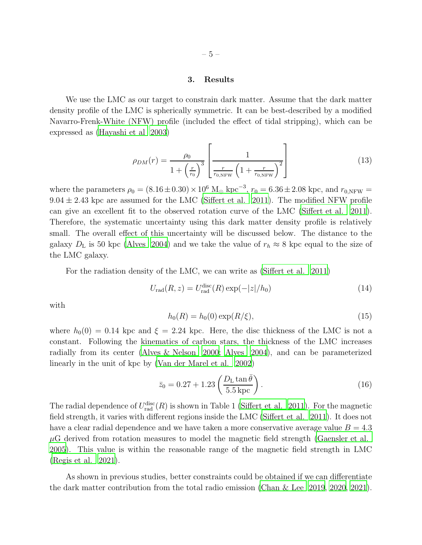#### 3. Results

We use the LMC as our target to constrain dark matter. Assume that the dark matter density profile of the LMC is spherically symmetric. It can be best-described by a modified Navarro-Frenk-White (NFW) profile (included the effect of tidal stripping), which can be expressed as [\(Hayashi et al 2003\)](#page-16-12)

$$
\rho_{DM}(r) = \frac{\rho_0}{1 + \left(\frac{r}{r_0}\right)^3} \left[\frac{1}{\frac{r}{r_{0,\text{NFW}}}\left(1 + \frac{r}{r_{0,\text{NFW}}}\right)^2}\right]
$$
(13)

where the parameters  $\rho_0 = (8.16 \pm 0.30) \times 10^6$  M<sub>☉</sub> kpc<sup>-3</sup>,  $r_0 = 6.36 \pm 2.08$  kpc, and  $r_{0,\text{NFW}} =$  $9.04 \pm 2.43$  kpc are assumed for the LMC [\(Siffert et al. 2011](#page-17-1)). The modified NFW profile can give an excellent fit to the observed rotation curve of the LMC [\(Siffert et al. 2011](#page-17-1)). Therefore, the systematic uncertainty using this dark matter density profile is relatively small. The overall effect of this uncertainty will be discussed below. The distance to the galaxy  $D_{\rm L}$  is 50 kpc [\(Alves 2004\)](#page-8-8) and we take the value of  $r_h \approx 8$  kpc equal to the size of the LMC galaxy.

For the radiation density of the LMC, we can write as [\(Siffert et al. 2011\)](#page-17-1)

$$
U_{\rm rad}(R, z) = U_{\rm rad}^{\rm disc}(R) \exp(-|z|/h_0)
$$
\n(14)

with

$$
h_0(R) = h_0(0) \exp(R/\xi),
$$
\n(15)

where  $h_0(0) = 0.14$  kpc and  $\xi = 2.24$  kpc. Here, the disc thickness of the LMC is not a constant. Following the kinematics of carbon stars, the thickness of the LMC increases radially from its center [\(Alves & Nelson 2000;](#page-8-9) [Alves 2004\)](#page-8-8), and can be parameterized linearly in the unit of kpc by (Van der Marel et al. 2002)

$$
\bar{z}_0 = 0.27 + 1.23 \left( \frac{D_L \tan \bar{\theta}}{5.5 \,\text{kpc}} \right). \tag{16}
$$

The radial dependence of  $U_{\text{rad}}^{\text{disc}}(R)$  is shown in Table 1 [\(Siffert et al. 2011\)](#page-17-1). For the magnetic field strength, it varies with different regions inside the LMC [\(Siffert et al. 2011\)](#page-17-1). It does not have a clear radial dependence and we have taken a more conservative average value  $B = 4.3$  $\mu$ G derived from rotation measures to model the magnetic field strength [\(Gaensler et al.](#page-16-13) [2005\)](#page-16-13). This value is within the reasonable range of the magnetic field strength in LMC [\(Regis et al. 2021\)](#page-16-14).

As shown in previous studies, better constraints could be obtained if we can differentiate the dark matter contribution from the total radio emission [\(Chan &](#page-8-4) Lee [2019,](#page-8-4) [2020,](#page-16-7) [2021](#page-16-5)).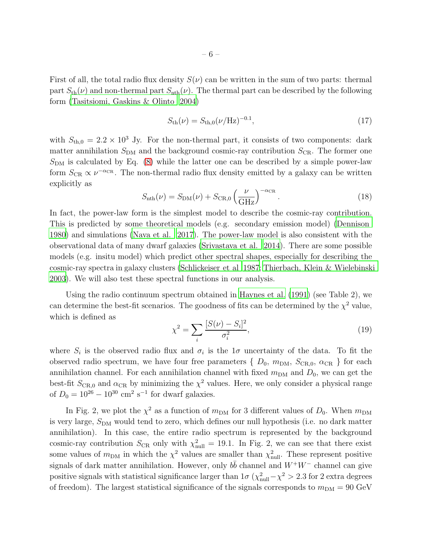First of all, the total radio flux density  $S(\nu)$  can be written in the sum of two parts: thermal part  $S_{\text{th}}(\nu)$  and non-thermal part  $S_{\text{nth}}(\nu)$ . The thermal part can be described by the following form [\(Tasitsiomi, Gaskins & Olinto 2004](#page-17-4))

$$
S_{\rm th}(\nu) = S_{\rm th,0}(\nu/\rm Hz)^{-0.1},\tag{17}
$$

with  $S_{th,0} = 2.2 \times 10^3$  Jy. For the non-thermal part, it consists of two components: dark matter annihilation  $S_{DM}$  and the background cosmic-ray contribution  $S_{CR}$ . The former one  $S_{\text{DM}}$  is calculated by Eq. [\(8\)](#page-3-0) while the latter one can be described by a simple power-law form  $S_{CR} \propto \nu^{-\alpha_{CR}}$ . The non-thermal radio flux density emitted by a galaxy can be written explicitly as

$$
S_{\rm nth}(\nu) = S_{\rm DM}(\nu) + S_{\rm CR,0} \left(\frac{\nu}{\rm GHz}\right)^{-\alpha_{\rm CR}}.\tag{18}
$$

In fact, the power-law form is the simplest model to describe the cosmic-ray contribution. This is predicted by some theoretical models (e.g. secondary emission model) [\(Dennison](#page-16-15) [1980\)](#page-16-15) and simulations [\(Nava et al. 2017\)](#page-16-16). The power-law model is also consistent with the observational data of many dwarf galaxies [\(Srivastava et al. 2014](#page-17-5)). There are some possible models (e.g. insitu model) which predict other spectral shapes, especially for describing the cosmic-ray spectra in galaxy clusters [\(Schlickeiser et al 1987](#page-16-17); [Thierbach, Klein & Wielebinski](#page-17-6) [2003\)](#page-17-6). We will also test these spectral functions in our analysis.

Using the radio continuum spectrum obtained in [Haynes et al. \(1991\)](#page-16-18) (see Table 2), we can determine the best-fit scenarios. The goodness of fits can be determined by the  $\chi^2$  value, which is defined as

$$
\chi^2 = \sum_{i} \frac{[S(\nu) - S_i]^2}{\sigma_i^2},\tag{19}
$$

where  $S_i$  is the observed radio flux and  $\sigma_i$  is the  $1\sigma$  uncertainty of the data. To fit the observed radio spectrum, we have four free parameters {  $D_0$ ,  $m_{DM}$ ,  $S_{CR,0}$ ,  $\alpha_{CR}$  } for each annihilation channel. For each annihilation channel with fixed  $m_{DM}$  and  $D_0$ , we can get the best-fit  $S_{CR,0}$  and  $\alpha_{CR}$  by minimizing the  $\chi^2$  values. Here, we only consider a physical range of  $D_0 = 10^{26} - 10^{30}$  cm<sup>2</sup> s<sup>-1</sup> for dwarf galaxies.

In Fig. 2, we plot the  $\chi^2$  as a function of  $m_{\text{DM}}$  for 3 different values of  $D_0$ . When  $m_{\text{DM}}$ is very large,  $S_{DM}$  would tend to zero, which defines our null hypothesis (i.e. no dark matter annihilation). In this case, the entire radio spectrum is represented by the background cosmic-ray contribution  $S_{CR}$  only with  $\chi^2_{null} = 19.1$ . In Fig. 2, we can see that there exist some values of  $m_{\text{DM}}$  in which the  $\chi^2$  values are smaller than  $\chi^2_{\text{null}}$ . These represent positive signals of dark matter annihilation. However, only  $b\bar{b}$  channel and  $W^+W^-$  channel can give positive signals with statistical significance larger than  $1\sigma$  ( $\chi^2_{\text{null}} - \chi^2 > 2.3$  for 2 extra degrees of freedom). The largest statistical significance of the signals corresponds to  $m_{DM} = 90 \text{ GeV}$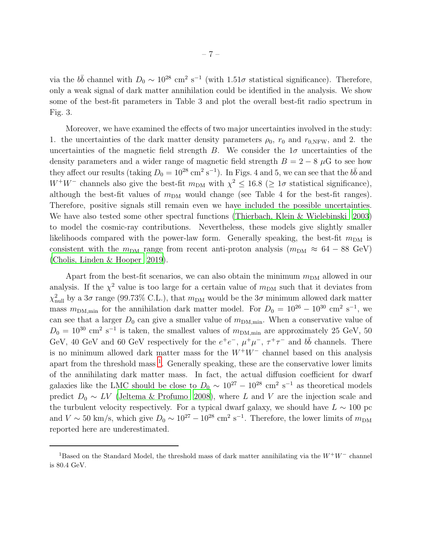via the  $b\bar{b}$  channel with  $D_0 \sim 10^{28}$  cm<sup>2</sup> s<sup>-1</sup> (with 1.51 $\sigma$  statistical significance). Therefore, only a weak signal of dark matter annihilation could be identified in the analysis. We show some of the best-fit parameters in Table 3 and plot the overall best-fit radio spectrum in Fig. 3.

Moreover, we have examined the effects of two major uncertainties involved in the study: 1. the uncertainties of the dark matter density parameters  $\rho_0$ ,  $r_0$  and  $r_{0,NFW}$ , and 2. the uncertainties of the magnetic field strength B. We consider the  $1\sigma$  uncertainties of the density parameters and a wider range of magnetic field strength  $B = 2 - 8 \mu$ G to see how they affect our results (taking  $D_0 = 10^{28}$  cm<sup>2</sup> s<sup>-1</sup>). In Figs. 4 and 5, we can see that the  $b\bar{b}$  and  $W^+W^-$  channels also give the best-fit  $m_{DM}$  with  $\chi^2 \leq 16.8$  ( $\geq 1\sigma$  statistical significance), although the best-fit values of  $m_{DM}$  would change (see Table 4 for the best-fit ranges). Therefore, positive signals still remain even we have included the possible uncertainties. We have also tested some other spectral functions [\(Thierbach, Klein & Wielebinski 2003\)](#page-17-6) to model the cosmic-ray contributions. Nevertheless, these models give slightly smaller likelihoods compared with the power-law form. Generally speaking, the best-fit  $m_{DM}$  is consistent with the  $m_{\text{DM}}$  range from recent anti-proton analysis  $(m_{\text{DM}} \approx 64 - 88 \text{ GeV})$ [\(Cholis, Linden & Hooper 2019\)](#page-16-19).

Apart from the best-fit scenarios, we can also obtain the minimum  $m_{DM}$  allowed in our analysis. If the  $\chi^2$  value is too large for a certain value of  $m_{\text{DM}}$  such that it deviates from  $\chi^2_{\text{null}}$  by a 3 $\sigma$  range (99.73% C.L.), that  $m_{\text{DM}}$  would be the 3 $\sigma$  minimum allowed dark matter mass  $m_{\text{DM,min}}$  for the annihilation dark matter model. For  $D_0 = 10^{26} - 10^{30} \text{ cm}^2 \text{ s}^{-1}$ , we can see that a larger  $D_0$  can give a smaller value of  $m_{\text{DM,min}}$ . When a conservative value of  $D_0 = 10^{30}$  cm<sup>2</sup> s<sup>-1</sup> is taken, the smallest values of  $m_{\text{DM,min}}$  are approximately 25 GeV, 50 GeV, 40 GeV and 60 GeV respectively for the  $e^+e^-$ ,  $\mu^+\mu^-$ ,  $\tau^+\tau^-$  and  $b\bar{b}$  channels. There is no minimum allowed dark matter mass for the  $W^+W^-$  channel based on this analysis apart from the threshold mass  $<sup>1</sup>$  $<sup>1</sup>$  $<sup>1</sup>$ . Generally speaking, these are the conservative lower limits</sup> of the annihilating dark matter mass. In fact, the actual diffusion coefficient for dwarf galaxies like the LMC should be close to  $D_0 \sim 10^{27} - 10^{28}$  cm<sup>2</sup> s<sup>-1</sup> as theoretical models predict  $D_0 \sim LV$  [\(Jeltema & Profumo 2008\)](#page-16-20), where L and V are the injection scale and the turbulent velocity respectively. For a typical dwarf galaxy, we should have  $L \sim 100$  pc and  $V \sim 50$  km/s, which give  $D_0 \sim 10^{27} - 10^{28}$  cm<sup>2</sup> s<sup>-1</sup>. Therefore, the lower limits of  $m_{\text{DM}}$ reported here are underestimated.

<sup>&</sup>lt;sup>1</sup>Based on the Standard Model, the threshold mass of dark matter annihilating via the  $W^+W^-$  channel is 80.4 GeV.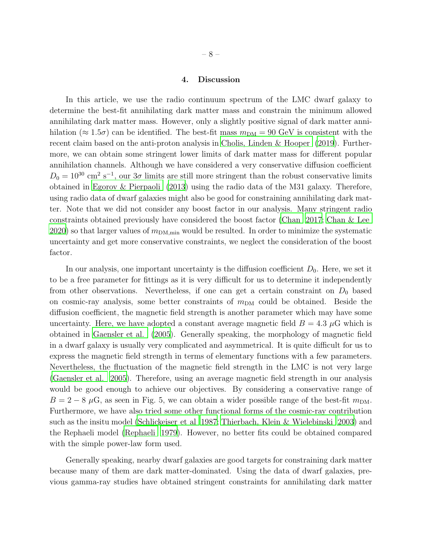#### 4. Discussion

In this article, we use the radio continuum spectrum of the LMC dwarf galaxy to determine the best-fit annihilating dark matter mass and constrain the minimum allowed annihilating dark matter mass. However, only a slightly positive signal of dark matter annihilation ( $\approx 1.5\sigma$ ) can be identified. The best-fit mass  $m_{DM} = 90$  GeV is consistent with the recent claim based on the anti-proton analysis in [Cholis, Linden & Hooper \(2019\)](#page-16-19). Furthermore, we can obtain some stringent lower limits of dark matter mass for different popular annihilation channels. Although we have considered a very conservative diffusion coefficient  $D_0 = 10^{30}$  cm<sup>2</sup> s<sup>-1</sup>, our  $3\sigma$  limits are still more stringent than the robust conservative limits obtained in [Egorov & Pierpaoli \(2013\)](#page-16-1) using the radio data of the M31 galaxy. Therefore, using radio data of dwarf galaxies might also be good for constraining annihilating dark matter. Note that we did not consider any boost factor in our analysis. Many stringent radio constraints obtained previously have considered the boost factor [\(Chan 2017](#page-8-5); [Chan & Lee](#page-16-7) [2020\)](#page-16-7) so that larger values of  $m_{\text{DM,min}}$  would be resulted. In order to minimize the systematic uncertainty and get more conservative constraints, we neglect the consideration of the boost factor.

In our analysis, one important uncertainty is the diffusion coefficient  $D_0$ . Here, we set it to be a free parameter for fittings as it is very difficult for us to determine it independently from other observations. Nevertheless, if one can get a certain constraint on  $D_0$  based on cosmic-ray analysis, some better constraints of  $m_{DM}$  could be obtained. Beside the diffusion coefficient, the magnetic field strength is another parameter which may have some uncertainty. Here, we have adopted a constant average magnetic field  $B = 4.3 \mu$ G which is obtained in [Gaensler et al. \(2005](#page-16-13)). Generally speaking, the morphology of magnetic field in a dwarf galaxy is usually very complicated and asymmetrical. It is quite difficult for us to express the magnetic field strength in terms of elementary functions with a few parameters. Nevertheless, the fluctuation of the magnetic field strength in the LMC is not very large [\(Gaensler et al. 2005\)](#page-16-13). Therefore, using an average magnetic field strength in our analysis would be good enough to achieve our objectives. By considering a conservative range of  $B = 2 - 8 \mu$ G, as seen in Fig. 5, we can obtain a wider possible range of the best-fit  $m_{\text{DM}}$ . Furthermore, we have also tried some other functional forms of the cosmic-ray contribution such as the insitu model [\(Schlickeiser et al 1987;](#page-16-17) [Thierbach, Klein & Wielebinski 2003\)](#page-17-6) and the Rephaeli model [\(Rephaeli 1979](#page-16-21)). However, no better fits could be obtained compared with the simple power-law form used.

Generally speaking, nearby dwarf galaxies are good targets for constraining dark matter because many of them are dark matter-dominated. Using the data of dwarf galaxies, previous gamma-ray studies have obtained stringent constraints for annihilating dark matter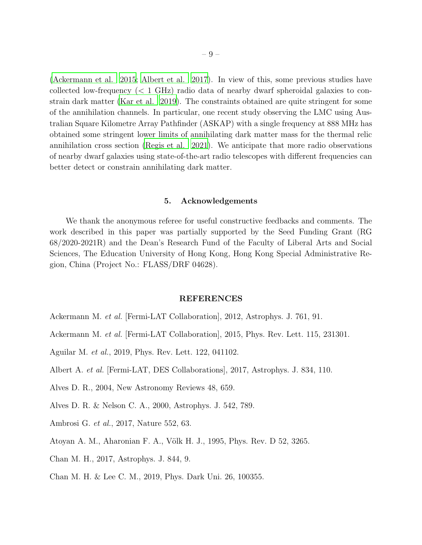[\(Ackermann et al. 2015;](#page-8-2) [Albert et al. 2017\)](#page-8-3). In view of this, some previous studies have collected low-frequency  $\langle \langle 1 \text{ GHz} \rangle$  radio data of nearby dwarf spheroidal galaxies to constrain dark matter [\(Kar et al. 2019\)](#page-16-6). The constraints obtained are quite stringent for some of the annihilation channels. In particular, one recent study observing the LMC using Australian Square Kilometre Array Pathfinder (ASKAP) with a single frequency at 888 MHz has obtained some stringent lower limits of annihilating dark matter mass for the thermal relic annihilation cross section [\(Regis et al. 2021](#page-16-14)). We anticipate that more radio observations of nearby dwarf galaxies using state-of-the-art radio telescopes with different frequencies can better detect or constrain annihilating dark matter.

#### 5. Acknowledgements

We thank the anonymous referee for useful constructive feedbacks and comments. The work described in this paper was partially supported by the Seed Funding Grant (RG 68/2020-2021R) and the Dean's Research Fund of the Faculty of Liberal Arts and Social Sciences, The Education University of Hong Kong, Hong Kong Special Administrative Region, China (Project No.: FLASS/DRF 04628).

#### REFERENCES

- <span id="page-8-7"></span>Ackermann M. *et al.* [Fermi-LAT Collaboration], 2012, Astrophys. J. 761, 91.
- <span id="page-8-2"></span>Ackermann M. *et al.* [Fermi-LAT Collaboration], 2015, Phys. Rev. Lett. 115, 231301.
- <span id="page-8-0"></span>Aguilar M. *et al.*, 2019, Phys. Rev. Lett. 122, 041102.
- <span id="page-8-3"></span>Albert A. *et al.* [Fermi-LAT, DES Collaborations], 2017, Astrophys. J. 834, 110.
- <span id="page-8-8"></span>Alves D. R., 2004, New Astronomy Reviews 48, 659.
- <span id="page-8-9"></span>Alves D. R. & Nelson C. A., 2000, Astrophys. J. 542, 789.
- <span id="page-8-1"></span>Ambrosi G. *et al.*, 2017, Nature 552, 63.
- <span id="page-8-6"></span>Atoyan A. M., Aharonian F. A., Völk H. J., 1995, Phys. Rev. D 52, 3265.
- <span id="page-8-5"></span>Chan M. H., 2017, Astrophys. J. 844, 9.
- <span id="page-8-4"></span>Chan M. H. & Lee C. M., 2019, Phys. Dark Uni. 26, 100355.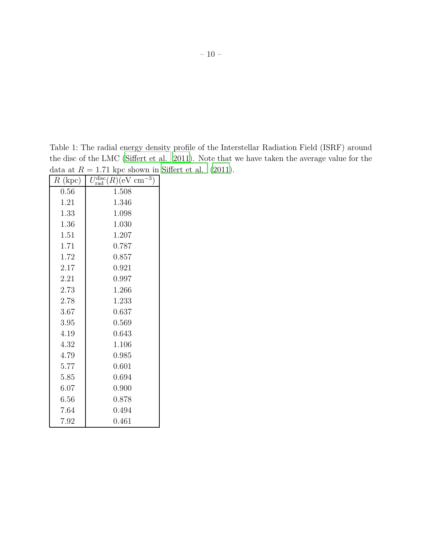Table 1: The radial energy density profile of the Interstellar Radiation Field (ISRF) around the disc of the LMC [\(Siffert et al. 2011\)](#page-17-1). Note that we have taken the average value for the data at  $R = 1.71$  kpc shown in [Siffert et al. \(2011\)](#page-17-1).

| $R$ (kpc) | $U_{\rm rad}^{\rm disc} (\overline{R)(\rm eV~cm^2})$<br>3) |
|-----------|------------------------------------------------------------|
| $0.56\,$  | 1.508                                                      |
| 1.21      | 1.346                                                      |
| 1.33      | 1.098                                                      |
| 1.36      | 1.030                                                      |
| 1.51      | 1.207                                                      |
| 1.71      | 0.787                                                      |
| 1.72      | 0.857                                                      |
| 2.17      | 0.921                                                      |
| 2.21      | 0.997                                                      |
| 2.73      | 1.266                                                      |
| 2.78      | 1.233                                                      |
| 3.67      | 0.637                                                      |
| 3.95      | 0.569                                                      |
| 4.19      | 0.643                                                      |
| 4.32      | 1.106                                                      |
| 4.79      | 0.985                                                      |
| 5.77      | 0.601                                                      |
| 5.85      | 0.694                                                      |
| 6.07      | 0.900                                                      |
| 6.56      | 0.878                                                      |
| 7.64      | 0.494                                                      |
| 7.92      | 0.461                                                      |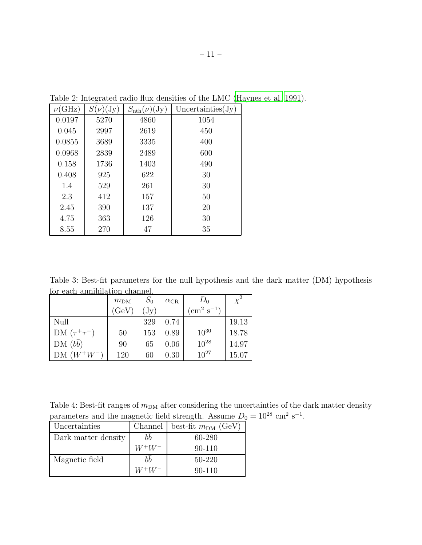| $\nu(\text{GHz})$ | $S(\nu)(\text{Jy})$ | $S_{\rm nth}(\nu)(\rm Jy)$ | Uncertainties(Jy) |
|-------------------|---------------------|----------------------------|-------------------|
| 0.0197            | 5270                | 4860                       | 1054              |
| 0.045             | 2997                | 2619                       | 450               |
| 0.0855            | 3689                | 3335                       | 400               |
| 0.0968            | 2839                | 2489                       | 600               |
| 0.158             | 1736                | 1403                       | 490               |
| 0.408             | 925                 | 622                        | 30                |
| 1.4               | 529                 | 261                        | 30                |
| 2.3               | 412                 | 157                        | 50                |
| 2.45              | 390                 | 137                        | 20                |
| 4.75              | 363                 | 126                        | 30                |
| 8.55              | 270                 | 47                         | 35                |

Table 2: Integrated radio flux densities of the LMC [\(Haynes et al. 1991\)](#page-16-18).

Table 3: Best-fit parameters for the null hypothesis and the dark matter (DM) hypothesis for each annihilation channel.

|                     | $m_{\text{DM}}$ | $S_0$           | $\alpha_{\rm CR}$ | $D_0$               |       |
|---------------------|-----------------|-----------------|-------------------|---------------------|-------|
|                     | (GeV)           | $(\mathrm{Jy})$ |                   | $\rm (cm^2~s^{-1})$ |       |
| Null                |                 | 329             | 0.74              |                     | 19.13 |
| DM $(\tau^+\tau^-)$ | 50              | 153             | 0.89              | $10^{30}$           | 18.78 |
| $DM (b\bar{b})$     | 90              | 65              | 0.06              | $10^{28}$           | 14.97 |
| $DM(W^+W^-)$        | 120             | 60              | 0.30              | $10^{27}$           | 15.07 |

Table 4: Best-fit ranges of  $m_{DM}$  after considering the uncertainties of the dark matter density parameters and the magnetic field strength. Assume  $D_0 = 10^{28}$  cm<sup>2</sup> s<sup>-1</sup>.

| Uncertainties       | Channel  | best-fit $m_{\text{DM}}$ (GeV) |
|---------------------|----------|--------------------------------|
| Dark matter density | hh       | 60-280                         |
|                     | $W^+W^-$ | 90-110                         |
| Magnetic field      | hh       | 50-220                         |
|                     |          | $90 - 110$                     |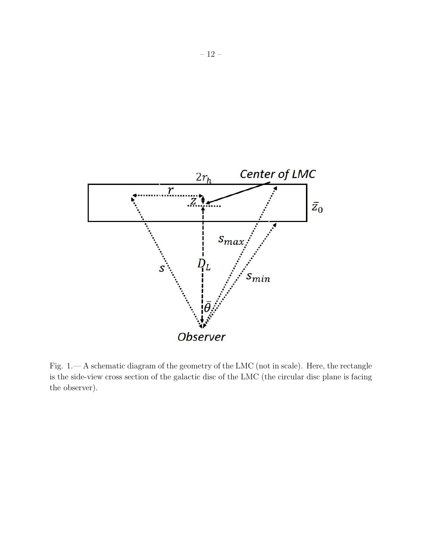

Fig. 1.— A schematic diagram of the geometry of the LMC (not in scale). Here, the rectangle is the side-view cross section of the galactic disc of the LMC (the circular disc plane is facing the observer).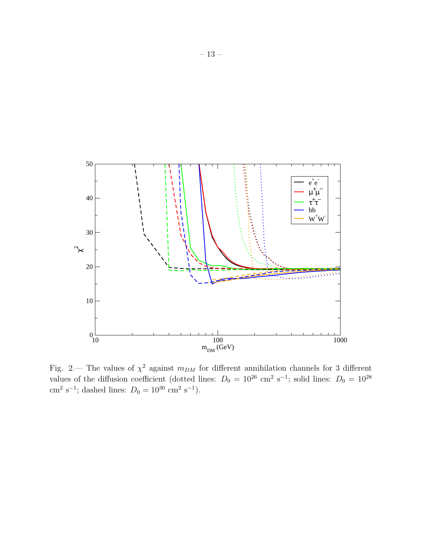

Fig. 2.— The values of  $\chi^2$  against  $m_{DM}$  for different annihilation channels for 3 different values of the diffusion coefficient (dotted lines:  $D_0 = 10^{26}$  cm<sup>2</sup> s<sup>-1</sup>; solid lines:  $D_0 = 10^{28}$ cm<sup>2</sup> s<sup>-1</sup>; dashed lines:  $D_0 = 10^{30}$  cm<sup>2</sup> s<sup>-1</sup>).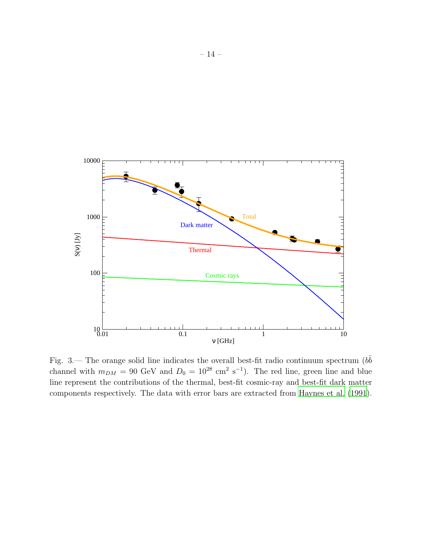

Fig. 3.— The orange solid line indicates the overall best-fit radio continuum spectrum ( $b\bar{b}$ channel with  $m_{DM} = 90$  GeV and  $D_0 = 10^{28}$  cm<sup>2</sup> s<sup>-1</sup>). The red line, green line and blue line represent the contributions of the thermal, best-fit cosmic-ray and best-fit dark matter components respectively. The data with error bars are extracted from [Haynes et al. \(1991](#page-16-18)).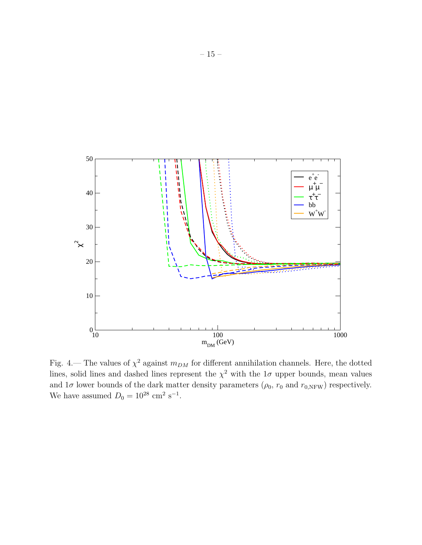

Fig. 4.— The values of  $\chi^2$  against  $m_{DM}$  for different annihilation channels. Here, the dotted lines, solid lines and dashed lines represent the  $\chi^2$  with the 1 $\sigma$  upper bounds, mean values and  $1\sigma$  lower bounds of the dark matter density parameters  $(\rho_0, r_0$  and  $r_{0,\text{NFW}})$  respectively. We have assumed  $D_0 = 10^{28}$  cm<sup>2</sup> s<sup>-1</sup>.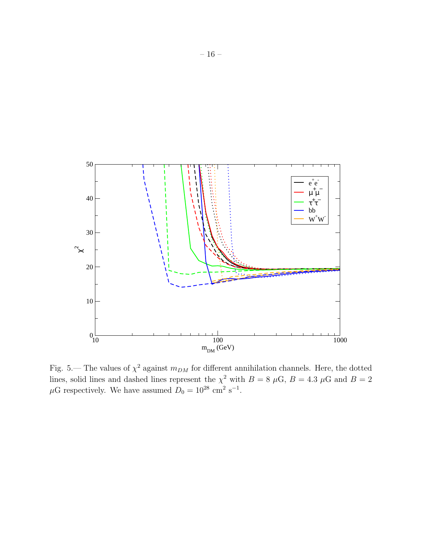

Fig. 5.— The values of  $\chi^2$  against  $m_{DM}$  for different annihilation channels. Here, the dotted lines, solid lines and dashed lines represent the  $\chi^2$  with  $B = 8 \mu$ G,  $B = 4.3 \mu$ G and  $B = 2$  $\mu$ G respectively. We have assumed  $D_0 = 10^{28}$  cm<sup>2</sup> s<sup>-1</sup>.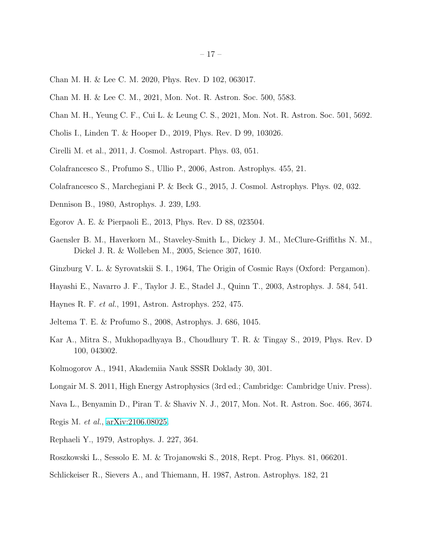- <span id="page-16-7"></span>Chan M. H. & Lee C. M. 2020, Phys. Rev. D 102, 063017.
- <span id="page-16-5"></span>Chan M. H. & Lee C. M., 2021, Mon. Not. R. Astron. Soc. 500, 5583.
- <span id="page-16-2"></span>Chan M. H., Yeung C. F., Cui L. & Leung C. S., 2021, Mon. Not. R. Astron. Soc. 501, 5692.
- <span id="page-16-19"></span>Cholis I., Linden T. & Hooper D., 2019, Phys. Rev. D 99, 103026.
- <span id="page-16-10"></span>Cirelli M. et al., 2011, J. Cosmol. Astropart. Phys. 03, 051.
- <span id="page-16-3"></span>Colafrancesco S., Profumo S., Ullio P., 2006, Astron. Astrophys. 455, 21.
- <span id="page-16-4"></span>Colafrancesco S., Marchegiani P. & Beck G., 2015, J. Cosmol. Astrophys. Phys. 02, 032.
- <span id="page-16-15"></span>Dennison B., 1980, Astrophys. J. 239, L93.
- <span id="page-16-1"></span>Egorov A. E. & Pierpaoli E., 2013, Phys. Rev. D 88, 023504.
- <span id="page-16-13"></span>Gaensler B. M., Haverkorn M., Staveley-Smith L., Dickey J. M., McClure-Griffiths N. M., Dickel J. R. & Wolleben M., 2005, Science 307, 1610.
- <span id="page-16-8"></span>Ginzburg V. L. & Syrovatskii S. I., 1964, The Origin of Cosmic Rays (Oxford: Pergamon).
- <span id="page-16-12"></span>Hayashi E., Navarro J. F., Taylor J. E., Stadel J., Quinn T., 2003, Astrophys. J. 584, 541.
- <span id="page-16-18"></span>Haynes R. F. *et al.*, 1991, Astron. Astrophys. 252, 475.
- <span id="page-16-20"></span>Jeltema T. E. & Profumo S., 2008, Astrophys. J. 686, 1045.
- <span id="page-16-6"></span>Kar A., Mitra S., Mukhopadhyaya B., Choudhury T. R. & Tingay S., 2019, Phys. Rev. D 100, 043002.
- <span id="page-16-9"></span>Kolmogorov A., 1941, Akademiia Nauk SSSR Doklady 30, 301.
- <span id="page-16-11"></span>Longair M. S. 2011, High Energy Astrophysics (3rd ed.; Cambridge: Cambridge Univ. Press).
- <span id="page-16-16"></span>Nava L., Benyamin D., Piran T. & Shaviv N. J., 2017, Mon. Not. R. Astron. Soc. 466, 3674.
- <span id="page-16-14"></span>Regis M. *et al.*, [arXiv:2106.08025.](http://arxiv.org/abs/2106.08025)
- <span id="page-16-21"></span>Rephaeli Y., 1979, Astrophys. J. 227, 364.
- <span id="page-16-0"></span>Roszkowski L., Sessolo E. M. & Trojanowski S., 2018, Rept. Prog. Phys. 81, 066201.
- <span id="page-16-17"></span>Schlickeiser R., Sievers A., and Thiemann, H. 1987, Astron. Astrophys. 182, 21